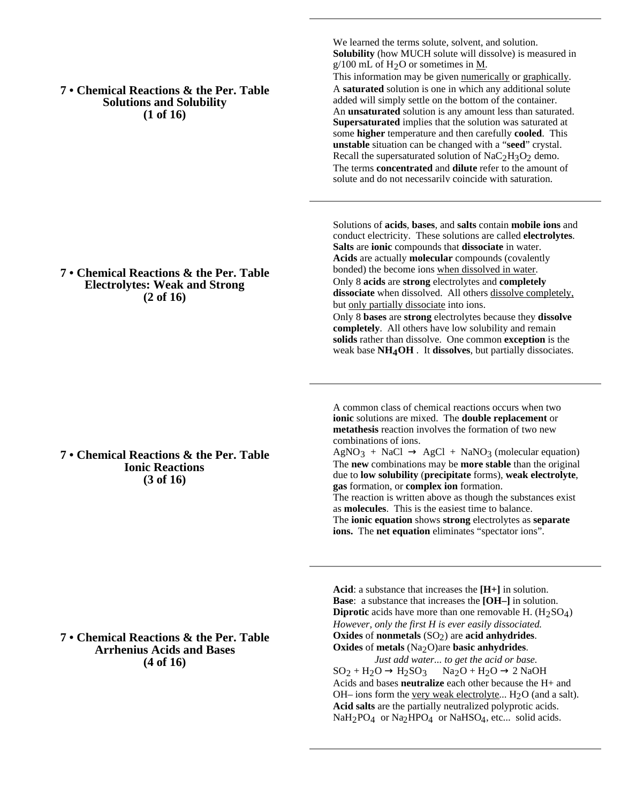**7 • Chemical Reactions & the Per. Table Solutions and Solubility (1 of 16)**

We learned the terms solute, solvent, and solution. **Solubility** (how MUCH solute will dissolve) is measured in  $g/100$  mL of H<sub>2</sub>O or sometimes in M. This information may be given numerically or graphically. A **saturated** solution is one in which any additional solute added will simply settle on the bottom of the container. An **unsaturated** solution is any amount less than saturated. **Supersaturated** implies that the solution was saturated at some **higher** temperature and then carefully **cooled**. This **unstable** situation can be changed with a "**seed**" crystal. Recall the supersaturated solution of  $NaC<sub>2</sub>H<sub>3</sub>O<sub>2</sub>$  demo. The terms **concentrated** and **dilute** refer to the amount of solute and do not necessarily coincide with saturation.

Solutions of **acids**, **bases**, and **salts** contain **mobile ions** and conduct electricity. These solutions are called **electrolytes**. **Salts** are **ionic** compounds that **dissociate** in water. **Acids** are actually **molecular** compounds (covalently bonded) the become ions when dissolved in water. Only 8 **acids** are **strong** electrolytes and **completely** dissociate when dissolved. All others dissolve completely, but only partially dissociate into ions.

Only 8 **bases** are **strong** electrolytes because they **dissolve completely**. All others have low solubility and remain **solids** rather than dissolve. One common **exception** is the weak base **NH4OH** . It **dissolves**, but partially dissociates.

A common class of chemical reactions occurs when two **ionic** solutions are mixed. The **double replacement** or **metathesis** reaction involves the formation of two new combinations of ions.

 $AgNO<sub>3</sub> + NaCl$  AgCl + NaNO<sub>3</sub> (molecular equation) The **new** combinations may be **more stable** than the original due to **low solubility** (**precipitate** forms), **weak electrolyte**, **gas** formation, or **complex ion** formation.

The reaction is written above as though the substances exist as **molecules**. This is the easiest time to balance. The **ionic equation** shows **strong** electrolytes as **separate ions.** The **net equation** eliminates "spectator ions".

**Acid**: a substance that increases the **[H+]** in solution. **Base**: a substance that increases the **[OH–]** in solution. **Diprotic** acids have more than one removable H.  $(H_2SO_4)$ *However, only the first H is ever easily dissociated.* **Oxides** of **nonmetals** (SO2) are **acid anhydrides**. **Oxides** of **metals** (Na2O)are **basic anhydrides**.

*Just add water... to get the acid or base.*  $SO<sub>2</sub> + H<sub>2</sub>O$   $H<sub>2</sub>SO<sub>3</sub>$  Na<sub>2</sub>O + H<sub>2</sub>O 2 NaOH Acids and bases **neutralize** each other because the H+ and OH– ions form the very weak electrolyte...  $H_2O$  (and a salt). **Acid salts** are the partially neutralized polyprotic acids. NaH<sub>2</sub>PO<sub>4</sub> or Na<sub>2</sub>HPO<sub>4</sub> or NaHSO<sub>4</sub>, etc... solid acids.

### **7 • Chemical Reactions & the Per. Table Electrolytes: Weak and Strong (2 of 16)**

**7 • Chemical Reactions & the Per. Table Ionic Reactions (3 of 16)**

# **7 • Chemical Reactions & the Per. Table Arrhenius Acids and Bases (4 of 16)**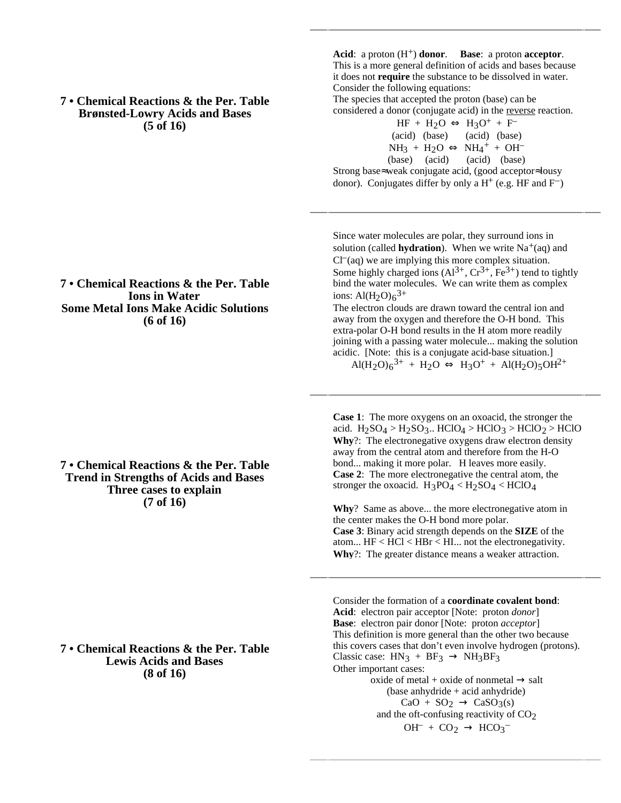**7 • Chemical Reactions & the Per. Table Brønsted-Lowry Acids and Bases (5 of 16)**

# **(6 of 16)**

**7 • Chemical Reactions & the Per. Table Ions in Water Some Metal Ions Make Acidic Solutions**

# **7 • Chemical Reactions & the Per. Table Trend in Strengths of Acids and Bases Three cases to explain (7 of 16)**

#### **7 • Chemical Reactions & the Per. Table Lewis Acids and Bases (8 of 16)**

**Acid**: a proton  $(H^+)$  **donor**. **Base**: a proton **acceptor**. This is a more general definition of acids and bases because it does not **require** the substance to be dissolved in water. Consider the following equations:

The species that accepted the proton (base) can be considered a donor (conjugate acid) in the reverse reaction.

|                                                                |               | $HF + H2O$ | $H_3O^+ + F^-$                        |  |
|----------------------------------------------------------------|---------------|------------|---------------------------------------|--|
|                                                                | (acid) (base) |            | (acid) (base)                         |  |
|                                                                | $NH_3 + H_2O$ |            | $NH_4$ <sup>+</sup> + OH <sup>-</sup> |  |
|                                                                |               |            | (base) (acid) (acid) (base)           |  |
| Strong base weak conjugate acid, (good acceptor lousy          |               |            |                                       |  |
| donor). Conjugates differ by only a $H^+$ (e.g. HF and $F^-$ ) |               |            |                                       |  |

Since water molecules are polar, they surround ions in solution (called **hydration**). When we write  $Na<sup>+</sup>(aq)$  and  $Cl<sup>-</sup>(aq)$  we are implying this more complex situation. Some highly charged ions  $(A1^{3+}, Cr^{3+}, Fe^{3+})$  tend to tightly bind the water molecules. We can write them as complex ions:  $Al(H_2O)6^{3+}$ 

The electron clouds are drawn toward the central ion and away from the oxygen and therefore the O-H bond. This extra-polar O-H bond results in the H atom more readily joining with a passing water molecule... making the solution acidic. [Note: this is a conjugate acid-base situation.]

 $Al(H_2O)_6^{3+} + H_2O$   $H_3O^+ + Al(H_2O)_5OH^{2+}$ 

**Case 1**: The more oxygens on an oxoacid, the stronger the acid.  $H_2SO_4 > H_2SO_3$ .. HClO<sub>4</sub> > HClO<sub>3</sub> > HClO<sub>2</sub> > HClO **Why**?: The electronegative oxygens draw electron density away from the central atom and therefore from the H-O bond... making it more polar. H leaves more easily. **Case 2**: The more electronegative the central atom, the stronger the oxoacid.  $H_3PO_4 < H_2SO_4 < HClO_4$ 

**Why**? Same as above... the more electronegative atom in the center makes the O-H bond more polar. **Case 3**: Binary acid strength depends on the **SIZE** of the atom...  $HF < HCl < HBr < HI$ ... not the electronegativity. **Why**?: The greater distance means a weaker attraction.

Consider the formation of a **coordinate covalent bond**: **Acid**: electron pair acceptor [Note: proton *donor*] **Base**: electron pair donor [Note: proton *acceptor*] This definition is more general than the other two because this covers cases that don't even involve hydrogen (protons). Classic case:  $HN_3 + BF_3$  NH<sub>3</sub>BF<sub>3</sub> Other important cases:  $oxide$  of metal +  $oxide$  of nonmetal salt (base anhydride + acid anhydride)  $CaO + SO<sub>2</sub>$   $CaSO<sub>3</sub>(s)$ and the oft-confusing reactivity of  $CO<sub>2</sub>$ 

 $OH^- + CO_2$   $HCO_3^-$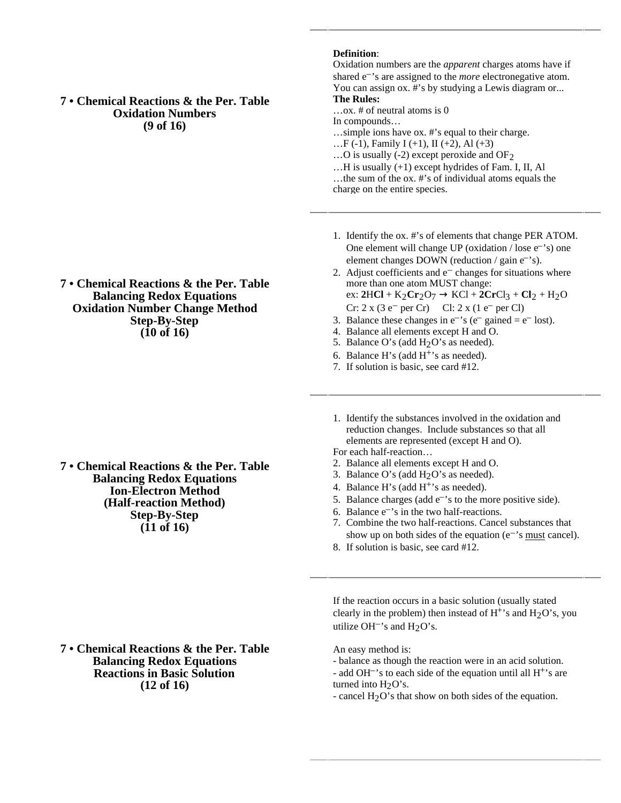**7 • Chemical Reactions & the Per. Table Oxidation Numbers (9 of 16)**

**7 • Chemical Reactions & the Per. Table Balancing Redox Equations Oxidation Number Change Method Step-By-Step (10 of 16)**

**7 • Chemical Reactions & the Per. Table Balancing Redox Equations Ion-Electron Method (Half-reaction Method) Step-By-Step (11 of 16)**

**7 • Chemical Reactions & the Per. Table Balancing Redox Equations Reactions in Basic Solution (12 of 16)**

#### **Definition**:

Oxidation numbers are the *apparent* charges atoms have if shared e–'s are assigned to the *more* electronegative atom. You can assign ox. #'s by studying a Lewis diagram or... **The Rules:**

…ox. # of neutral atoms is 0

In compounds…

…simple ions have ox. #'s equal to their charge.

...F (-1), Family I (+1), II (+2), Al (+3)

…O is usually (-2) except peroxide and OF2

…H is usually (+1) except hydrides of Fam. I, II, Al …the sum of the ox. #'s of individual atoms equals the charge on the entire species.

1. Identify the ox. #'s of elements that change PER ATOM. One element will change UP (oxidation  $/$  lose  $e^{-}$ 's) one element changes DOWN (reduction / gain e<sup>-</sup>'s).

2. Adjust coefficients and  $e^-$  changes for situations where more than one atom MUST change: ex:  $2HCl + K_2Cr_2O_7$  KCl +  $2CrCl_3 + Cl_2 + H_2O$  $Cr: 2 \times (3 e^-)$  per Cr) Cl:  $2 \times (1 e^-)$  per Cl)

- 3. Balance these changes in  $e^{-s}$  ( $e^{-}$  gained  $= e^{-}$  lost).
- 4. Balance all elements except H and O.
- 5. Balance O's (add  $H<sub>2</sub>O$ 's as needed).
- 6. Balance H's (add  $H^+$ 's as needed).
- 7. If solution is basic, see card #12.
- 1. Identify the substances involved in the oxidation and reduction changes. Include substances so that all elements are represented (except H and O).

For each half-reaction…

- 2. Balance all elements except H and O.
- 3. Balance O's (add  $H<sub>2</sub>O$ 's as needed).
- 4. Balance H's (add  $H^{+}$ 's as needed).
- 5. Balance charges (add  $e^{-t}$ s to the more positive side).
- 6. Balance e–'s in the two half-reactions.
- 7. Combine the two half-reactions. Cancel substances that show up on both sides of the equation ( $e^{-\gamma}$ s must cancel).
- 8. If solution is basic, see card #12.

If the reaction occurs in a basic solution (usually stated clearly in the problem) then instead of  $H^+$ 's and  $H_2O$ 's, you utilize OH<sup>-</sup>'s and  $H<sub>2</sub>O$ 's.

An easy method is:

- balance as though the reaction were in an acid solution. - add OH<sup> $-$ </sup>'s to each side of the equation until all  $H^{+}$ 's are turned into  $H<sub>2</sub>O's$ .
- cancel H<sub>2</sub>O's that show on both sides of the equation.